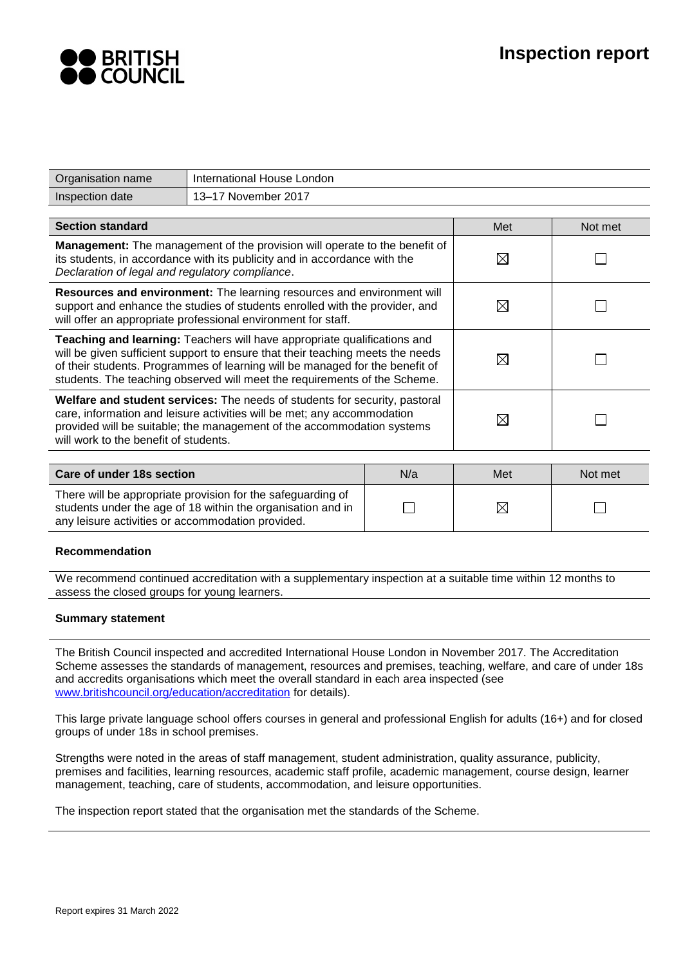

| Organisation name                                                                                                                                                                                                                                                                                                       | International House London |             |             |         |  |
|-------------------------------------------------------------------------------------------------------------------------------------------------------------------------------------------------------------------------------------------------------------------------------------------------------------------------|----------------------------|-------------|-------------|---------|--|
| Inspection date                                                                                                                                                                                                                                                                                                         | 13-17 November 2017        |             |             |         |  |
|                                                                                                                                                                                                                                                                                                                         |                            |             |             |         |  |
| <b>Section standard</b>                                                                                                                                                                                                                                                                                                 |                            |             | Met         | Not met |  |
| Management: The management of the provision will operate to the benefit of<br>its students, in accordance with its publicity and in accordance with the<br>Declaration of legal and regulatory compliance.                                                                                                              |                            |             | ⊠           |         |  |
| Resources and environment: The learning resources and environment will<br>⊠<br>support and enhance the studies of students enrolled with the provider, and<br>will offer an appropriate professional environment for staff.                                                                                             |                            |             |             |         |  |
| Teaching and learning: Teachers will have appropriate qualifications and<br>will be given sufficient support to ensure that their teaching meets the needs<br>of their students. Programmes of learning will be managed for the benefit of<br>students. The teaching observed will meet the requirements of the Scheme. |                            |             | $\boxtimes$ |         |  |
| Welfare and student services: The needs of students for security, pastoral<br>care, information and leisure activities will be met; any accommodation<br>provided will be suitable; the management of the accommodation systems<br>will work to the benefit of students.                                                |                            | ⊠           |             |         |  |
|                                                                                                                                                                                                                                                                                                                         |                            |             |             |         |  |
| N/a<br>Care of under 18s section                                                                                                                                                                                                                                                                                        |                            |             | Met         | Not met |  |
| There will be appropriate provision for the safeguarding of<br>students under the age of 18 within the organisation and in<br>any leisure activities or accommodation provided.                                                                                                                                         |                            | $\boxtimes$ |             |         |  |
|                                                                                                                                                                                                                                                                                                                         |                            |             |             |         |  |

## **Recommendation**

We recommend continued accreditation with a supplementary inspection at a suitable time within 12 months to assess the closed groups for young learners.

#### **Summary statement**

The British Council inspected and accredited International House London in November 2017. The Accreditation Scheme assesses the standards of management, resources and premises, teaching, welfare, and care of under 18s and accredits organisations which meet the overall standard in each area inspected (see www.britishcouncil.org/education/accreditation for details).

This large private language school offers courses in general and professional English for adults (16+) and for closed groups of under 18s in school premises.

Strengths were noted in the areas of staff management, student administration, quality assurance, publicity, premises and facilities, learning resources, academic staff profile, academic management, course design, learner management, teaching, care of students, accommodation, and leisure opportunities.

The inspection report stated that the organisation met the standards of the Scheme.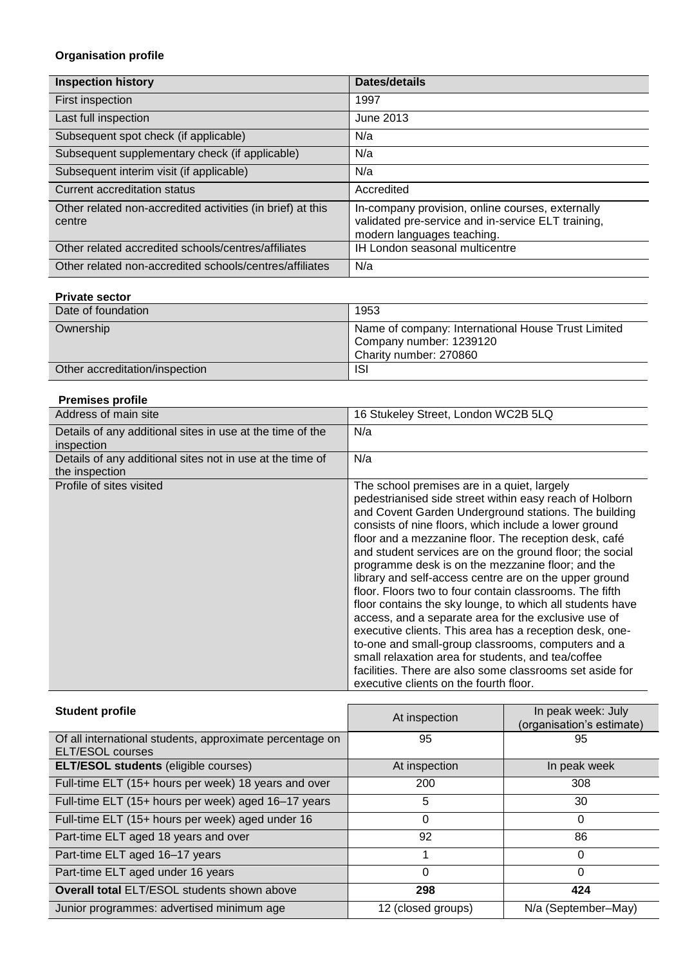# **Organisation profile**

| <b>Inspection history</b>                                            | Dates/details                                                                                                                        |
|----------------------------------------------------------------------|--------------------------------------------------------------------------------------------------------------------------------------|
| First inspection                                                     | 1997                                                                                                                                 |
| Last full inspection                                                 | June 2013                                                                                                                            |
| Subsequent spot check (if applicable)                                | N/a                                                                                                                                  |
| Subsequent supplementary check (if applicable)                       | N/a                                                                                                                                  |
| Subsequent interim visit (if applicable)                             | N/a                                                                                                                                  |
| Current accreditation status                                         | Accredited                                                                                                                           |
| Other related non-accredited activities (in brief) at this<br>centre | In-company provision, online courses, externally<br>validated pre-service and in-service ELT training,<br>modern languages teaching. |
| Other related accredited schools/centres/affiliates                  | <b>IH London seasonal multicentre</b>                                                                                                |
| Other related non-accredited schools/centres/affiliates              | N/a                                                                                                                                  |

## **Private sector**

| Date of foundation             | 1953                                                                                                    |
|--------------------------------|---------------------------------------------------------------------------------------------------------|
| Ownership                      | Name of company: International House Trust Limited<br>Company number: 1239120<br>Charity number: 270860 |
| Other accreditation/inspection | <b>ISI</b>                                                                                              |

## **Premises profile**

| Address of main site                                                        | 16 Stukeley Street, London WC2B 5LQ                                                                                                                                                                                                                                                                                                                                                                                                                                                                                                                                                                                                                                                                                                                                                                                                                                                                                      |
|-----------------------------------------------------------------------------|--------------------------------------------------------------------------------------------------------------------------------------------------------------------------------------------------------------------------------------------------------------------------------------------------------------------------------------------------------------------------------------------------------------------------------------------------------------------------------------------------------------------------------------------------------------------------------------------------------------------------------------------------------------------------------------------------------------------------------------------------------------------------------------------------------------------------------------------------------------------------------------------------------------------------|
| Details of any additional sites in use at the time of the<br>inspection     | N/a                                                                                                                                                                                                                                                                                                                                                                                                                                                                                                                                                                                                                                                                                                                                                                                                                                                                                                                      |
| Details of any additional sites not in use at the time of<br>the inspection | N/a                                                                                                                                                                                                                                                                                                                                                                                                                                                                                                                                                                                                                                                                                                                                                                                                                                                                                                                      |
| Profile of sites visited                                                    | The school premises are in a quiet, largely<br>pedestrianised side street within easy reach of Holborn<br>and Covent Garden Underground stations. The building<br>consists of nine floors, which include a lower ground<br>floor and a mezzanine floor. The reception desk, café<br>and student services are on the ground floor; the social<br>programme desk is on the mezzanine floor; and the<br>library and self-access centre are on the upper ground<br>floor. Floors two to four contain classrooms. The fifth<br>floor contains the sky lounge, to which all students have<br>access, and a separate area for the exclusive use of<br>executive clients. This area has a reception desk, one-<br>to-one and small-group classrooms, computers and a<br>small relaxation area for students, and tea/coffee<br>facilities. There are also some classrooms set aside for<br>executive clients on the fourth floor. |

| <b>Student profile</b>                                                       | At inspection      | In peak week: July<br>(organisation's estimate) |  |
|------------------------------------------------------------------------------|--------------------|-------------------------------------------------|--|
| Of all international students, approximate percentage on<br>ELT/ESOL courses | 95                 | 95                                              |  |
| <b>ELT/ESOL students (eligible courses)</b>                                  | At inspection      | In peak week                                    |  |
| Full-time ELT (15+ hours per week) 18 years and over                         | 200                | 308                                             |  |
| Full-time ELT (15+ hours per week) aged 16-17 years                          | 5                  | 30                                              |  |
| Full-time ELT (15+ hours per week) aged under 16                             | 0                  | 0                                               |  |
| Part-time ELT aged 18 years and over                                         | 92                 | 86                                              |  |
| Part-time ELT aged 16-17 years                                               |                    | $\Omega$                                        |  |
| Part-time ELT aged under 16 years                                            | 0                  | $\Omega$                                        |  |
| <b>Overall total ELT/ESOL students shown above</b>                           | 298                | 424                                             |  |
| Junior programmes: advertised minimum age                                    | 12 (closed groups) | N/a (September-May)                             |  |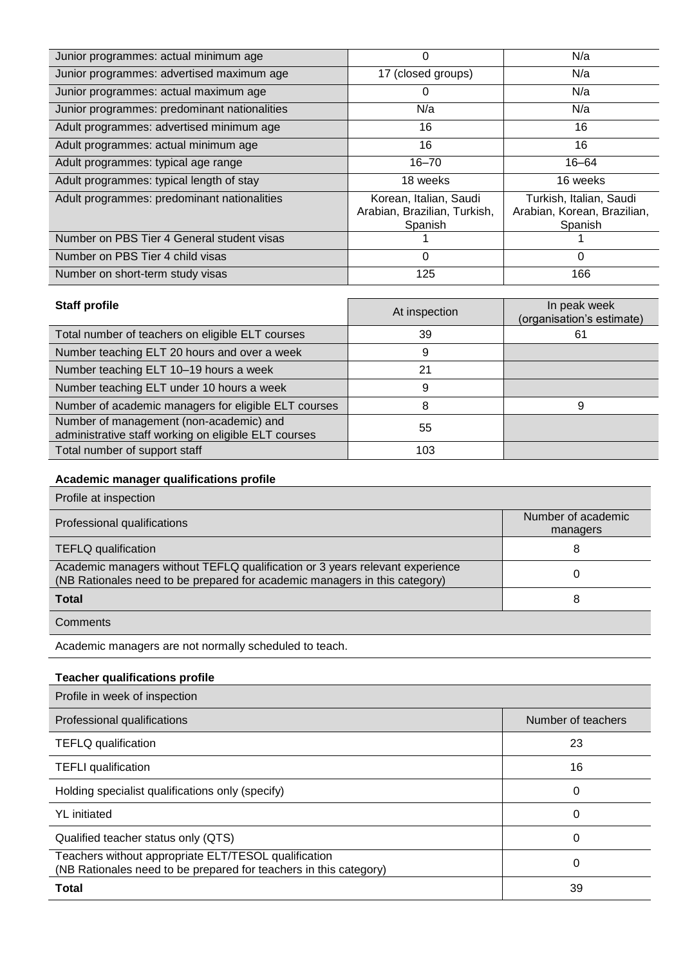| Junior programmes: actual minimum age        | 0                                       | N/a                                    |
|----------------------------------------------|-----------------------------------------|----------------------------------------|
| Junior programmes: advertised maximum age    | 17 (closed groups)                      | N/a                                    |
| Junior programmes: actual maximum age        | O                                       | N/a                                    |
| Junior programmes: predominant nationalities | N/a                                     | N/a                                    |
| Adult programmes: advertised minimum age     | 16                                      | 16                                     |
| Adult programmes: actual minimum age         | 16                                      | 16                                     |
| Adult programmes: typical age range          | $16 - 70$                               | $16 - 64$                              |
| Adult programmes: typical length of stay     | 18 weeks                                | 16 weeks                               |
| Adult programmes: predominant nationalities  | Korean, Italian, Saudi                  | Turkish, Italian, Saudi                |
|                                              | Arabian, Brazilian, Turkish,<br>Spanish | Arabian, Korean, Brazilian,<br>Spanish |
| Number on PBS Tier 4 General student visas   |                                         |                                        |
| Number on PBS Tier 4 child visas             | 0                                       | 0                                      |
| Number on short-term study visas             | 125                                     | 166                                    |

| <b>Staff profile</b>                                                                            | At inspection | In peak week<br>(organisation's estimate) |
|-------------------------------------------------------------------------------------------------|---------------|-------------------------------------------|
| Total number of teachers on eligible ELT courses                                                | 39            | 61                                        |
| Number teaching ELT 20 hours and over a week                                                    | 9             |                                           |
| Number teaching ELT 10-19 hours a week                                                          | 21            |                                           |
| Number teaching ELT under 10 hours a week                                                       | 9             |                                           |
| Number of academic managers for eligible ELT courses                                            | 8             | 9                                         |
| Number of management (non-academic) and<br>administrative staff working on eligible ELT courses | 55            |                                           |
| Total number of support staff                                                                   | 103           |                                           |

# **Academic manager qualifications profile**

| Profile at inspection                                                                                                                                      |                                |
|------------------------------------------------------------------------------------------------------------------------------------------------------------|--------------------------------|
| Professional qualifications                                                                                                                                | Number of academic<br>managers |
| <b>TEFLQ qualification</b>                                                                                                                                 | 8                              |
| Academic managers without TEFLQ qualification or 3 years relevant experience<br>(NB Rationales need to be prepared for academic managers in this category) |                                |
| <b>Total</b>                                                                                                                                               | 8                              |
| Comments                                                                                                                                                   |                                |

Academic managers are not normally scheduled to teach.

## **Teacher qualifications profile**

| Profile in week of inspection                                                                                             |                    |
|---------------------------------------------------------------------------------------------------------------------------|--------------------|
| Professional qualifications                                                                                               | Number of teachers |
| <b>TEFLQ</b> qualification                                                                                                | 23                 |
| <b>TEFLI</b> qualification                                                                                                | 16                 |
| Holding specialist qualifications only (specify)                                                                          | 0                  |
| <b>YL</b> initiated                                                                                                       | 0                  |
| Qualified teacher status only (QTS)                                                                                       | 0                  |
| Teachers without appropriate ELT/TESOL qualification<br>(NB Rationales need to be prepared for teachers in this category) | 0                  |
| <b>Total</b>                                                                                                              | 39                 |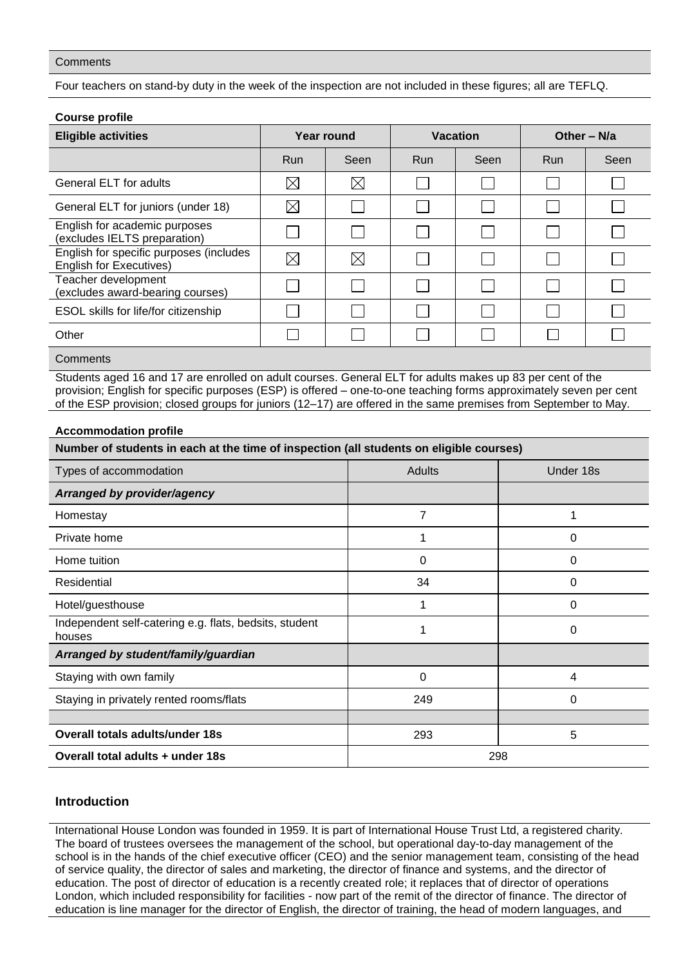## **Comments**

Four teachers on stand-by duty in the week of the inspection are not included in these figures; all are TEFLQ.

| <b>Course profile</b>                                                     |             |             |                 |      |               |      |
|---------------------------------------------------------------------------|-------------|-------------|-----------------|------|---------------|------|
| <b>Eligible activities</b>                                                | Year round  |             | <b>Vacation</b> |      | Other $- N/a$ |      |
|                                                                           | <b>Run</b>  | Seen        | <b>Run</b>      | Seen | <b>Run</b>    | Seen |
| General ELT for adults                                                    | $\boxtimes$ | $\boxtimes$ |                 |      |               |      |
| General ELT for juniors (under 18)                                        | $\boxtimes$ |             |                 |      |               |      |
| English for academic purposes<br>(excludes IELTS preparation)             |             |             |                 |      |               |      |
| English for specific purposes (includes<br><b>English for Executives)</b> | $\boxtimes$ | $\boxtimes$ |                 |      |               |      |
| Teacher development<br>(excludes award-bearing courses)                   |             |             |                 |      |               |      |
| ESOL skills for life/for citizenship                                      |             |             |                 |      |               |      |
| Other                                                                     |             |             |                 |      |               |      |
| Comments                                                                  |             |             |                 |      |               |      |

Students aged 16 and 17 are enrolled on adult courses. General ELT for adults makes up 83 per cent of the provision; English for specific purposes (ESP) is offered – one-to-one teaching forms approximately seven per cent of the ESP provision; closed groups for juniors (12–17) are offered in the same premises from September to May.

#### **Accommodation profile**

| Number of students in each at the time of inspection (all students on eligible courses) |        |           |  |  |
|-----------------------------------------------------------------------------------------|--------|-----------|--|--|
| Types of accommodation                                                                  | Adults | Under 18s |  |  |
| Arranged by provider/agency                                                             |        |           |  |  |
| Homestay                                                                                | 7      |           |  |  |
| Private home                                                                            |        | 0         |  |  |
| Home tuition                                                                            | 0      | 0         |  |  |
| Residential                                                                             | 34     | 0         |  |  |
| Hotel/guesthouse                                                                        |        | 0         |  |  |
| Independent self-catering e.g. flats, bedsits, student<br>houses                        |        | 0         |  |  |
| Arranged by student/family/guardian                                                     |        |           |  |  |
| Staying with own family                                                                 | 0      | 4         |  |  |
| Staying in privately rented rooms/flats                                                 | 249    | 0         |  |  |
|                                                                                         |        |           |  |  |
| <b>Overall totals adults/under 18s</b>                                                  | 293    | 5         |  |  |
| Overall total adults + under 18s<br>298                                                 |        |           |  |  |

# **Introduction**

International House London was founded in 1959. It is part of International House Trust Ltd, a registered charity. The board of trustees oversees the management of the school, but operational day-to-day management of the school is in the hands of the chief executive officer (CEO) and the senior management team, consisting of the head of service quality, the director of sales and marketing, the director of finance and systems, and the director of education. The post of director of education is a recently created role; it replaces that of director of operations London, which included responsibility for facilities - now part of the remit of the director of finance. The director of education is line manager for the director of English, the director of training, the head of modern languages, and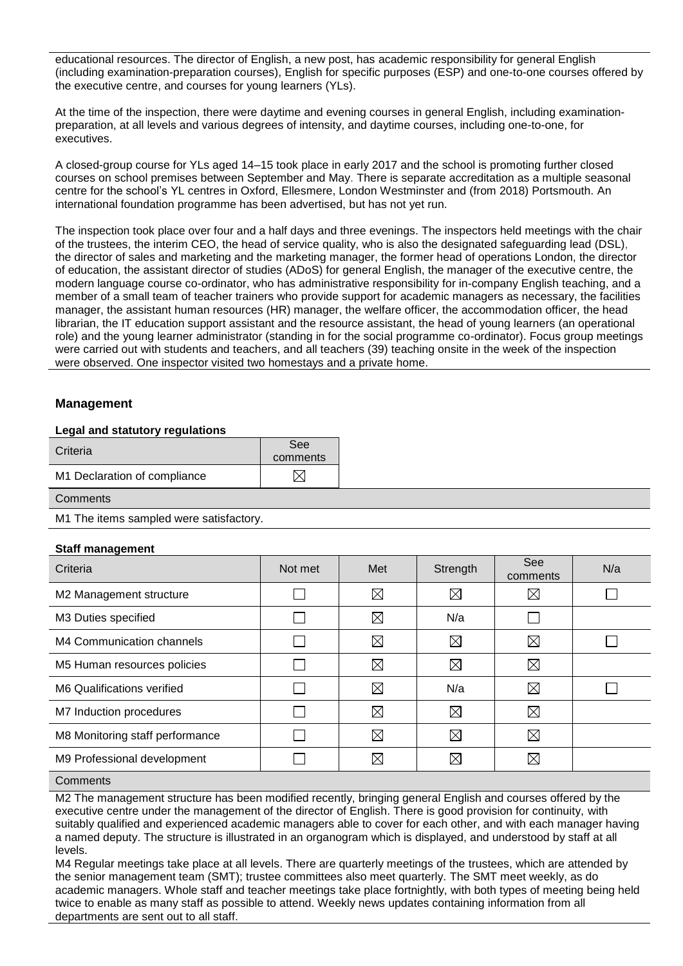educational resources. The director of English, a new post, has academic responsibility for general English (including examination-preparation courses), English for specific purposes (ESP) and one-to-one courses offered by the executive centre, and courses for young learners (YLs).

At the time of the inspection, there were daytime and evening courses in general English, including examinationpreparation, at all levels and various degrees of intensity, and daytime courses, including one-to-one, for executives.

A closed-group course for YLs aged 14–15 took place in early 2017 and the school is promoting further closed courses on school premises between September and May. There is separate accreditation as a multiple seasonal centre for the school's YL centres in Oxford, Ellesmere, London Westminster and (from 2018) Portsmouth. An international foundation programme has been advertised, but has not yet run.

The inspection took place over four and a half days and three evenings. The inspectors held meetings with the chair of the trustees, the interim CEO, the head of service quality, who is also the designated safeguarding lead (DSL), the director of sales and marketing and the marketing manager, the former head of operations London, the director of education, the assistant director of studies (ADoS) for general English, the manager of the executive centre, the modern language course co-ordinator, who has administrative responsibility for in-company English teaching, and a member of a small team of teacher trainers who provide support for academic managers as necessary, the facilities manager, the assistant human resources (HR) manager, the welfare officer, the accommodation officer, the head librarian, the IT education support assistant and the resource assistant, the head of young learners (an operational role) and the young learner administrator (standing in for the social programme co-ordinator). Focus group meetings were carried out with students and teachers, and all teachers (39) teaching onsite in the week of the inspection were observed. One inspector visited two homestays and a private home.

# **Management**

## **Legal and statutory regulations**

| Criteria                     | See      |
|------------------------------|----------|
|                              | comments |
| M1 Declaration of compliance |          |

**Comments** 

M1 The items sampled were satisfactory.

#### **Staff management**

| Criteria                        | Not met | Met         | Strength    | See<br>comments | N/a |
|---------------------------------|---------|-------------|-------------|-----------------|-----|
| M2 Management structure         |         | $\boxtimes$ | $\boxtimes$ | $\boxtimes$     |     |
| M3 Duties specified             |         | $\boxtimes$ | N/a         |                 |     |
| M4 Communication channels       |         | $\boxtimes$ | $\boxtimes$ | $\boxtimes$     |     |
| M5 Human resources policies     |         | $\boxtimes$ | $\boxtimes$ | $\boxtimes$     |     |
| M6 Qualifications verified      |         | $\boxtimes$ | N/a         | $\boxtimes$     |     |
| M7 Induction procedures         |         | $\boxtimes$ | $\boxtimes$ | $\boxtimes$     |     |
| M8 Monitoring staff performance |         | $\boxtimes$ | $\boxtimes$ | $\boxtimes$     |     |
| M9 Professional development     |         | $\boxtimes$ | $\boxtimes$ | $\boxtimes$     |     |
| $\sim$ $\sim$ $\sim$            |         |             |             |                 |     |

#### **Comments**

M2 The management structure has been modified recently, bringing general English and courses offered by the executive centre under the management of the director of English. There is good provision for continuity, with suitably qualified and experienced academic managers able to cover for each other, and with each manager having a named deputy. The structure is illustrated in an organogram which is displayed, and understood by staff at all levels.

M4 Regular meetings take place at all levels. There are quarterly meetings of the trustees, which are attended by the senior management team (SMT); trustee committees also meet quarterly. The SMT meet weekly, as do academic managers. Whole staff and teacher meetings take place fortnightly, with both types of meeting being held twice to enable as many staff as possible to attend. Weekly news updates containing information from all departments are sent out to all staff.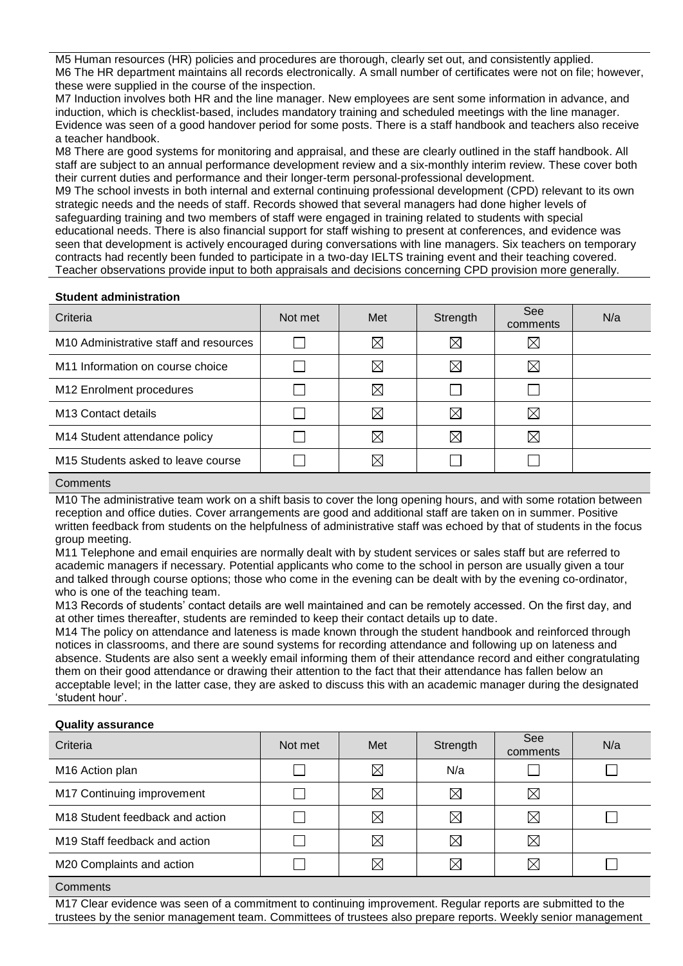M5 Human resources (HR) policies and procedures are thorough, clearly set out, and consistently applied. M6 The HR department maintains all records electronically. A small number of certificates were not on file; however, these were supplied in the course of the inspection.

M7 Induction involves both HR and the line manager. New employees are sent some information in advance, and induction, which is checklist-based, includes mandatory training and scheduled meetings with the line manager. Evidence was seen of a good handover period for some posts. There is a staff handbook and teachers also receive a teacher handbook.

M8 There are good systems for monitoring and appraisal, and these are clearly outlined in the staff handbook. All staff are subject to an annual performance development review and a six-monthly interim review. These cover both their current duties and performance and their longer-term personal-professional development.

M9 The school invests in both internal and external continuing professional development (CPD) relevant to its own strategic needs and the needs of staff. Records showed that several managers had done higher levels of safeguarding training and two members of staff were engaged in training related to students with special educational needs. There is also financial support for staff wishing to present at conferences, and evidence was seen that development is actively encouraged during conversations with line managers. Six teachers on temporary contracts had recently been funded to participate in a two-day IELTS training event and their teaching covered. Teacher observations provide input to both appraisals and decisions concerning CPD provision more generally.

#### **Student administration**

| Criteria                                           | Not met | Met         | Strength    | See<br>comments | N/a |
|----------------------------------------------------|---------|-------------|-------------|-----------------|-----|
| M <sub>10</sub> Administrative staff and resources |         | $\boxtimes$ | $\boxtimes$ | $\boxtimes$     |     |
| M11 Information on course choice                   |         | $\boxtimes$ | $\boxtimes$ | ⊠               |     |
| M12 Enrolment procedures                           |         | $\boxtimes$ |             |                 |     |
| M <sub>13</sub> Contact details                    |         | ⊠           | $\boxtimes$ | $\boxtimes$     |     |
| M14 Student attendance policy                      |         | $\boxtimes$ | $\boxtimes$ | $\boxtimes$     |     |
| M15 Students asked to leave course                 |         | IX          |             |                 |     |

## **Comments**

M10 The administrative team work on a shift basis to cover the long opening hours, and with some rotation between reception and office duties. Cover arrangements are good and additional staff are taken on in summer. Positive written feedback from students on the helpfulness of administrative staff was echoed by that of students in the focus group meeting.

M11 Telephone and email enquiries are normally dealt with by student services or sales staff but are referred to academic managers if necessary. Potential applicants who come to the school in person are usually given a tour and talked through course options; those who come in the evening can be dealt with by the evening co-ordinator, who is one of the teaching team.

M13 Records of students' contact details are well maintained and can be remotely accessed. On the first day, and at other times thereafter, students are reminded to keep their contact details up to date.

M14 The policy on attendance and lateness is made known through the student handbook and reinforced through notices in classrooms, and there are sound systems for recording attendance and following up on lateness and absence. Students are also sent a weekly email informing them of their attendance record and either congratulating them on their good attendance or drawing their attention to the fact that their attendance has fallen below an acceptable level; in the latter case, they are asked to discuss this with an academic manager during the designated 'student hour'.

#### **Quality assurance**

| Criteria                                    | Not met | Met         | Strength    | See<br>comments | N/a |
|---------------------------------------------|---------|-------------|-------------|-----------------|-----|
| M16 Action plan                             |         | $\boxtimes$ | N/a         |                 |     |
| M17 Continuing improvement                  |         | $\boxtimes$ | $\boxtimes$ | $\boxtimes$     |     |
| M <sub>18</sub> Student feedback and action |         | ⋉           | $\boxtimes$ | $\boxtimes$     |     |
| M <sub>19</sub> Staff feedback and action   |         | $\boxtimes$ | $\boxtimes$ | $\boxtimes$     |     |
| M20 Complaints and action                   |         | $\boxtimes$ | $\boxtimes$ | $\boxtimes$     |     |
|                                             |         |             |             |                 |     |

## **Comments**

M17 Clear evidence was seen of a commitment to continuing improvement. Regular reports are submitted to the trustees by the senior management team. Committees of trustees also prepare reports. Weekly senior management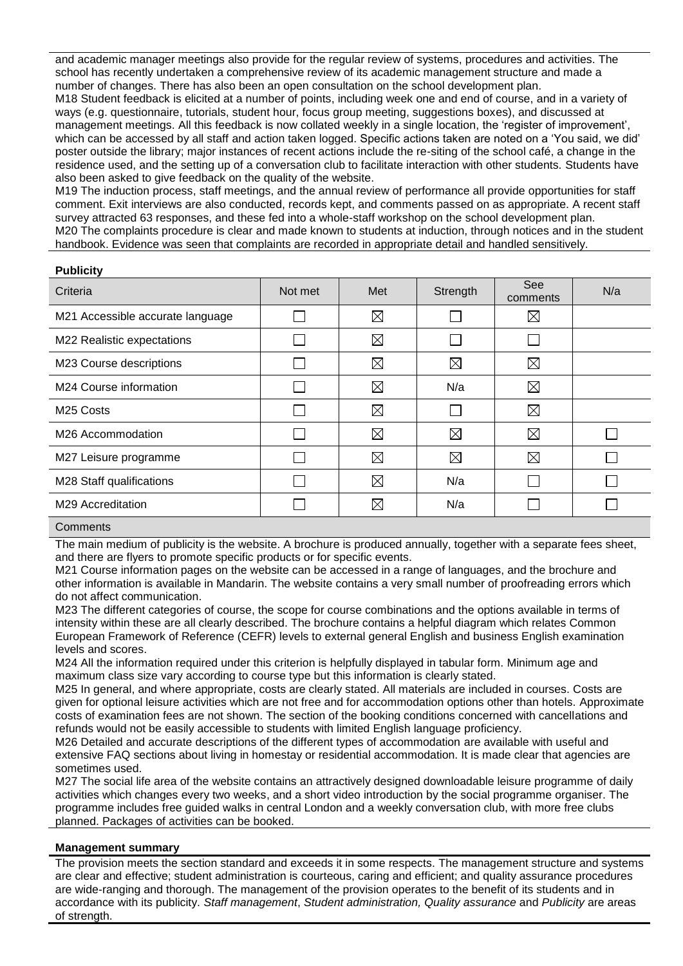and academic manager meetings also provide for the regular review of systems, procedures and activities. The school has recently undertaken a comprehensive review of its academic management structure and made a number of changes. There has also been an open consultation on the school development plan. M18 Student feedback is elicited at a number of points, including week one and end of course, and in a variety of ways (e.g. questionnaire, tutorials, student hour, focus group meeting, suggestions boxes), and discussed at management meetings. All this feedback is now collated weekly in a single location, the 'register of improvement', which can be accessed by all staff and action taken logged. Specific actions taken are noted on a 'You said, we did' poster outside the library; major instances of recent actions include the re-siting of the school café, a change in the residence used, and the setting up of a conversation club to facilitate interaction with other students. Students have also been asked to give feedback on the quality of the website.

M19 The induction process, staff meetings, and the annual review of performance all provide opportunities for staff comment. Exit interviews are also conducted, records kept, and comments passed on as appropriate. A recent staff survey attracted 63 responses, and these fed into a whole-staff workshop on the school development plan. M20 The complaints procedure is clear and made known to students at induction, through notices and in the student

handbook. Evidence was seen that complaints are recorded in appropriate detail and handled sensitively.

## **Publicity**

| Criteria                         | Not met | Met         | Strength    | See<br>comments | N/a |
|----------------------------------|---------|-------------|-------------|-----------------|-----|
| M21 Accessible accurate language |         | $\boxtimes$ |             | $\boxtimes$     |     |
| M22 Realistic expectations       |         | $\boxtimes$ |             |                 |     |
| M23 Course descriptions          |         | ⊠           | $\boxtimes$ | $\boxtimes$     |     |
| M24 Course information           |         | $\boxtimes$ | N/a         | $\boxtimes$     |     |
| M <sub>25</sub> Costs            |         | $\boxtimes$ |             | ⊠               |     |
| M26 Accommodation                |         | $\boxtimes$ | $\boxtimes$ | ⊠               |     |
| M27 Leisure programme            |         | $\boxtimes$ | $\boxtimes$ | $\boxtimes$     |     |
| M28 Staff qualifications         |         | $\boxtimes$ | N/a         |                 |     |
| M29 Accreditation                |         | $\boxtimes$ | N/a         |                 |     |
| $\sim$ $\sim$ $\sim$             |         |             |             |                 |     |

#### **Comments**

The main medium of publicity is the website. A brochure is produced annually, together with a separate fees sheet, and there are flyers to promote specific products or for specific events.

M21 Course information pages on the website can be accessed in a range of languages, and the brochure and other information is available in Mandarin. The website contains a very small number of proofreading errors which do not affect communication.

M23 The different categories of course, the scope for course combinations and the options available in terms of intensity within these are all clearly described. The brochure contains a helpful diagram which relates Common European Framework of Reference (CEFR) levels to external general English and business English examination levels and scores.

M24 All the information required under this criterion is helpfully displayed in tabular form. Minimum age and maximum class size vary according to course type but this information is clearly stated.

M25 In general, and where appropriate, costs are clearly stated. All materials are included in courses. Costs are given for optional leisure activities which are not free and for accommodation options other than hotels. Approximate costs of examination fees are not shown. The section of the booking conditions concerned with cancellations and refunds would not be easily accessible to students with limited English language proficiency.

M26 Detailed and accurate descriptions of the different types of accommodation are available with useful and extensive FAQ sections about living in homestay or residential accommodation. It is made clear that agencies are sometimes used.

M27 The social life area of the website contains an attractively designed downloadable leisure programme of daily activities which changes every two weeks, and a short video introduction by the social programme organiser. The programme includes free guided walks in central London and a weekly conversation club, with more free clubs planned. Packages of activities can be booked.

## **Management summary**

The provision meets the section standard and exceeds it in some respects. The management structure and systems are clear and effective; student administration is courteous, caring and efficient; and quality assurance procedures are wide-ranging and thorough. The management of the provision operates to the benefit of its students and in accordance with its publicity. *Staff management*, *Student administration, Quality assurance* and *Publicity* are areas of strength.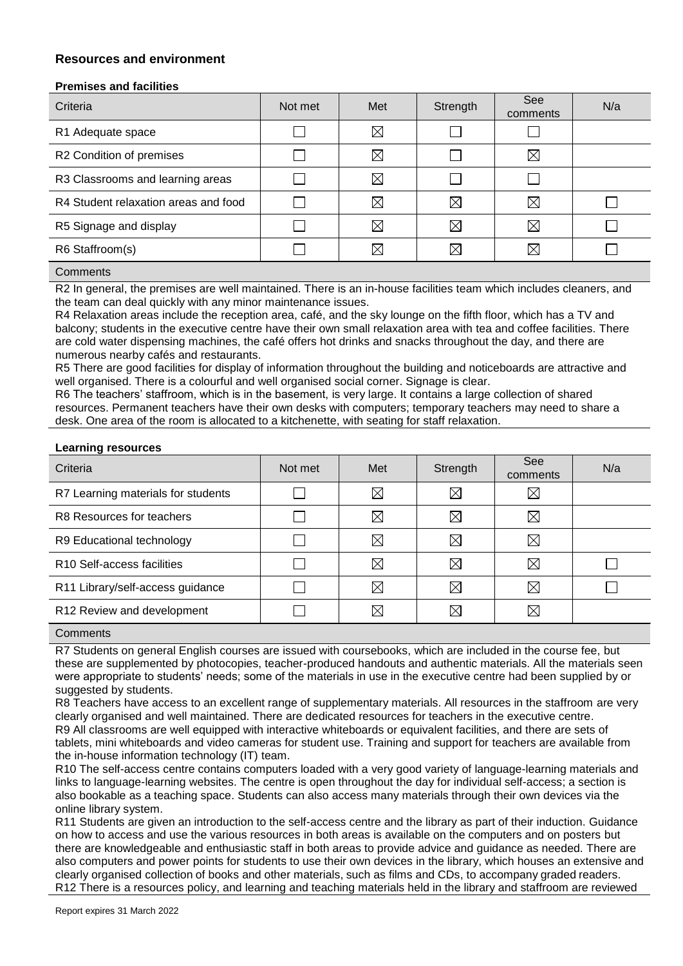# **Resources and environment**

## **Premises and facilities**

| Criteria                             | Not met | Met         | Strength    | See<br>comments | N/a |
|--------------------------------------|---------|-------------|-------------|-----------------|-----|
| R1 Adequate space                    |         | $\boxtimes$ |             |                 |     |
| R2 Condition of premises             |         | $\boxtimes$ |             | $\boxtimes$     |     |
| R3 Classrooms and learning areas     |         | $\boxtimes$ |             |                 |     |
| R4 Student relaxation areas and food |         | $\boxtimes$ | $\boxtimes$ | $\boxtimes$     |     |
| R5 Signage and display               |         | $\boxtimes$ | $\boxtimes$ | $\boxtimes$     |     |
| R6 Staffroom(s)                      |         | $\boxtimes$ | ⋉           | ⊠               |     |

## **Comments**

R2 In general, the premises are well maintained. There is an in-house facilities team which includes cleaners, and the team can deal quickly with any minor maintenance issues.

R4 Relaxation areas include the reception area, café, and the sky lounge on the fifth floor, which has a TV and balcony; students in the executive centre have their own small relaxation area with tea and coffee facilities. There are cold water dispensing machines, the café offers hot drinks and snacks throughout the day, and there are numerous nearby cafés and restaurants.

R5 There are good facilities for display of information throughout the building and noticeboards are attractive and well organised. There is a colourful and well organised social corner. Signage is clear.

R6 The teachers' staffroom, which is in the basement, is very large. It contains a large collection of shared resources. Permanent teachers have their own desks with computers; temporary teachers may need to share a desk. One area of the room is allocated to a kitchenette, with seating for staff relaxation.

#### **Learning resources**

| Criteria                               | Not met | Met         | Strength    | See<br>comments | N/a |
|----------------------------------------|---------|-------------|-------------|-----------------|-----|
| R7 Learning materials for students     |         | $\boxtimes$ | $\boxtimes$ | $\boxtimes$     |     |
| R8 Resources for teachers              |         | $\boxtimes$ | $\boxtimes$ | $\boxtimes$     |     |
| R9 Educational technology              |         | $\boxtimes$ | ⋉           | ⊠               |     |
| R <sub>10</sub> Self-access facilities |         | $\boxtimes$ | ⋉           | $\boxtimes$     |     |
| R11 Library/self-access guidance       |         | $\boxtimes$ | $\boxtimes$ | $\boxtimes$     |     |
| R12 Review and development             |         | ⋉           | IX          | ⊠               |     |

#### **Comments**

R7 Students on general English courses are issued with coursebooks, which are included in the course fee, but these are supplemented by photocopies, teacher-produced handouts and authentic materials. All the materials seen were appropriate to students' needs; some of the materials in use in the executive centre had been supplied by or suggested by students.

R8 Teachers have access to an excellent range of supplementary materials. All resources in the staffroom are very clearly organised and well maintained. There are dedicated resources for teachers in the executive centre. R9 All classrooms are well equipped with interactive whiteboards or equivalent facilities, and there are sets of tablets, mini whiteboards and video cameras for student use. Training and support for teachers are available from the in-house information technology (IT) team.

R10 The self-access centre contains computers loaded with a very good variety of language-learning materials and links to language-learning websites. The centre is open throughout the day for individual self-access; a section is also bookable as a teaching space. Students can also access many materials through their own devices via the online library system.

R11 Students are given an introduction to the self-access centre and the library as part of their induction. Guidance on how to access and use the various resources in both areas is available on the computers and on posters but there are knowledgeable and enthusiastic staff in both areas to provide advice and guidance as needed. There are also computers and power points for students to use their own devices in the library, which houses an extensive and clearly organised collection of books and other materials, such as films and CDs, to accompany graded readers. R12 There is a resources policy, and learning and teaching materials held in the library and staffroom are reviewed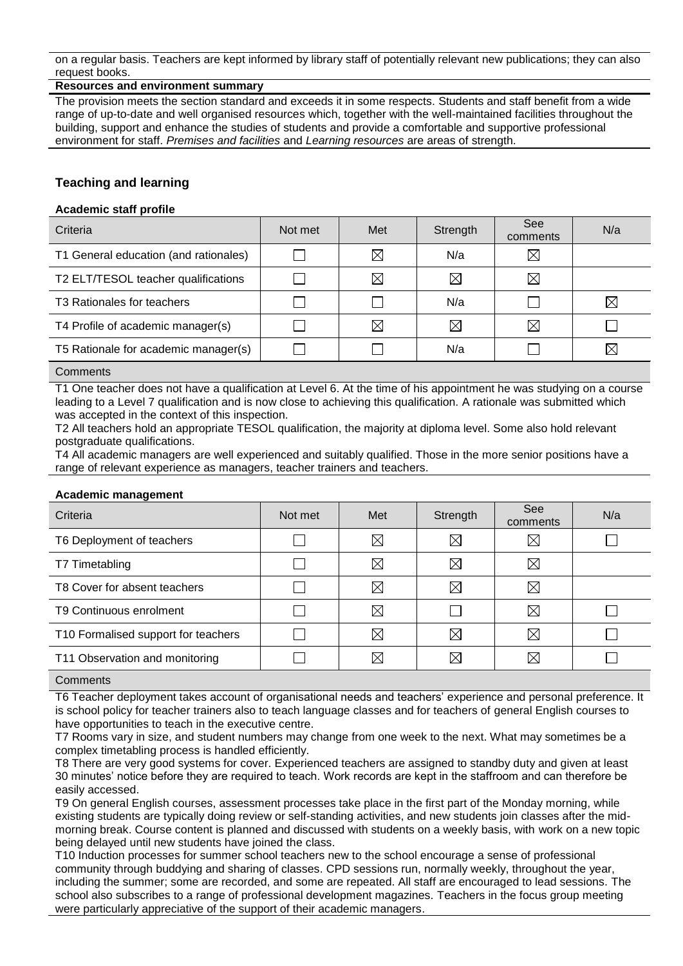on a regular basis. Teachers are kept informed by library staff of potentially relevant new publications; they can also request books.

## **Resources and environment summary**

The provision meets the section standard and exceeds it in some respects. Students and staff benefit from a wide range of up-to-date and well organised resources which, together with the well-maintained facilities throughout the building, support and enhance the studies of students and provide a comfortable and supportive professional environment for staff. *Premises and facilities* and *Learning resources* are areas of strength.

# **Teaching and learning**

## **Academic staff profile**

| Criteria                               | Not met | Met         | Strength    | <b>See</b><br>comments | N/a         |
|----------------------------------------|---------|-------------|-------------|------------------------|-------------|
| T1 General education (and rationales)  |         | $\boxtimes$ | N/a         | $\boxtimes$            |             |
| T2 ELT/TESOL teacher qualifications    |         | $\boxtimes$ | $\boxtimes$ | $\boxtimes$            |             |
| T <sub>3</sub> Rationales for teachers |         |             | N/a         |                        | $\boxtimes$ |
| T4 Profile of academic manager(s)      |         | $\boxtimes$ | $\boxtimes$ | $\boxtimes$            |             |
| T5 Rationale for academic manager(s)   |         |             | N/a         |                        | $\boxtimes$ |
| Commononto                             |         |             |             |                        |             |

#### Comments

T1 One teacher does not have a qualification at Level 6. At the time of his appointment he was studying on a course leading to a Level 7 qualification and is now close to achieving this qualification. A rationale was submitted which was accepted in the context of this inspection.

T2 All teachers hold an appropriate TESOL qualification, the majority at diploma level. Some also hold relevant postgraduate qualifications.

T4 All academic managers are well experienced and suitably qualified. Those in the more senior positions have a range of relevant experience as managers, teacher trainers and teachers.

#### **Academic management**

| Criteria                            | Not met | Met         | Strength    | <b>See</b><br>comments | N/a |
|-------------------------------------|---------|-------------|-------------|------------------------|-----|
| T6 Deployment of teachers           |         | $\boxtimes$ | $\boxtimes$ | $\bowtie$              |     |
| T7 Timetabling                      |         | $\boxtimes$ | $\boxtimes$ | $\boxtimes$            |     |
| T8 Cover for absent teachers        |         | $\boxtimes$ | $\boxtimes$ | $\boxtimes$            |     |
| T9 Continuous enrolment             |         | $\boxtimes$ |             | $\boxtimes$            |     |
| T10 Formalised support for teachers |         | $\boxtimes$ | $\boxtimes$ | M                      |     |
| T11 Observation and monitoring      |         | $\boxtimes$ | $\boxtimes$ | $\boxtimes$            |     |

## **Comments**

T6 Teacher deployment takes account of organisational needs and teachers' experience and personal preference. It is school policy for teacher trainers also to teach language classes and for teachers of general English courses to have opportunities to teach in the executive centre.

T7 Rooms vary in size, and student numbers may change from one week to the next. What may sometimes be a complex timetabling process is handled efficiently.

T8 There are very good systems for cover. Experienced teachers are assigned to standby duty and given at least 30 minutes' notice before they are required to teach. Work records are kept in the staffroom and can therefore be easily accessed.

T9 On general English courses, assessment processes take place in the first part of the Monday morning, while existing students are typically doing review or self-standing activities, and new students join classes after the midmorning break. Course content is planned and discussed with students on a weekly basis, with work on a new topic being delayed until new students have joined the class.

T10 Induction processes for summer school teachers new to the school encourage a sense of professional community through buddying and sharing of classes. CPD sessions run, normally weekly, throughout the year, including the summer; some are recorded, and some are repeated. All staff are encouraged to lead sessions. The school also subscribes to a range of professional development magazines. Teachers in the focus group meeting were particularly appreciative of the support of their academic managers.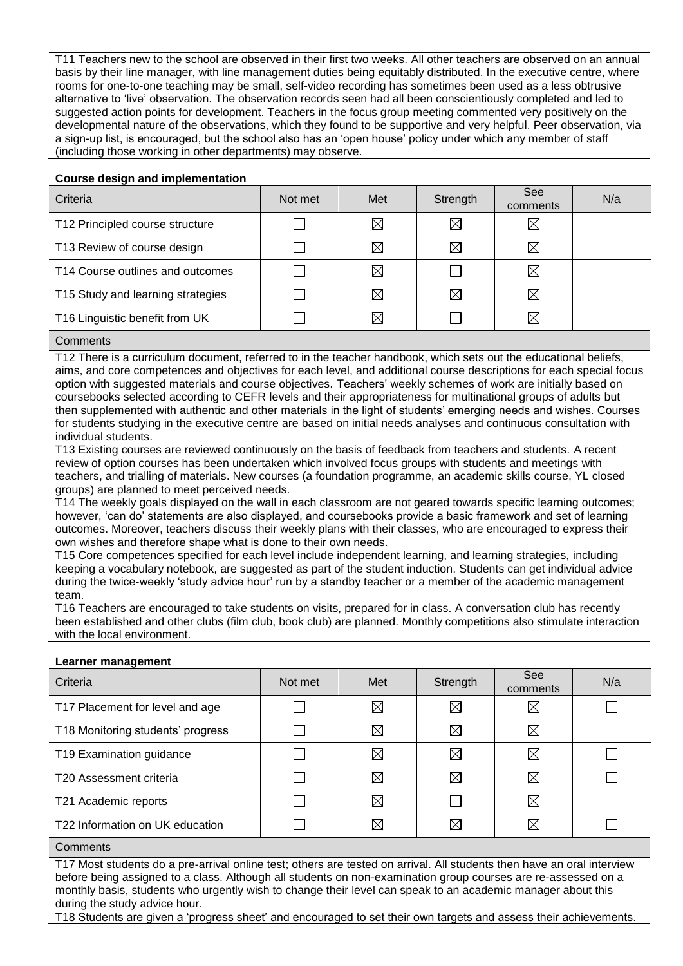T11 Teachers new to the school are observed in their first two weeks. All other teachers are observed on an annual basis by their line manager, with line management duties being equitably distributed. In the executive centre, where rooms for one-to-one teaching may be small, self-video recording has sometimes been used as a less obtrusive alternative to 'live' observation. The observation records seen had all been conscientiously completed and led to suggested action points for development. Teachers in the focus group meeting commented very positively on the developmental nature of the observations, which they found to be supportive and very helpful. Peer observation, via a sign-up list, is encouraged, but the school also has an 'open house' policy under which any member of staff (including those working in other departments) may observe.

## **Course design and implementation**

| Criteria                          | Not met | Met         | Strength    | See<br>comments | N/a |
|-----------------------------------|---------|-------------|-------------|-----------------|-----|
| T12 Principled course structure   |         | $\boxtimes$ | $\boxtimes$ | $\boxtimes$     |     |
| T13 Review of course design       |         | $\boxtimes$ | $\boxtimes$ | $\boxtimes$     |     |
| T14 Course outlines and outcomes  |         | $\boxtimes$ |             | $\boxtimes$     |     |
| T15 Study and learning strategies |         | $\boxtimes$ | $\boxtimes$ | $\boxtimes$     |     |
| T16 Linguistic benefit from UK    |         | $\boxtimes$ |             | ⋉               |     |

## **Comments**

T12 There is a curriculum document, referred to in the teacher handbook, which sets out the educational beliefs, aims, and core competences and objectives for each level, and additional course descriptions for each special focus option with suggested materials and course objectives. Teachers' weekly schemes of work are initially based on coursebooks selected according to CEFR levels and their appropriateness for multinational groups of adults but then supplemented with authentic and other materials in the light of students' emerging needs and wishes. Courses for students studying in the executive centre are based on initial needs analyses and continuous consultation with individual students.

T13 Existing courses are reviewed continuously on the basis of feedback from teachers and students. A recent review of option courses has been undertaken which involved focus groups with students and meetings with teachers, and trialling of materials. New courses (a foundation programme, an academic skills course, YL closed groups) are planned to meet perceived needs.

T14 The weekly goals displayed on the wall in each classroom are not geared towards specific learning outcomes; however, 'can do' statements are also displayed, and coursebooks provide a basic framework and set of learning outcomes. Moreover, teachers discuss their weekly plans with their classes, who are encouraged to express their own wishes and therefore shape what is done to their own needs.

T15 Core competences specified for each level include independent learning, and learning strategies, including keeping a vocabulary notebook, are suggested as part of the student induction. Students can get individual advice during the twice-weekly 'study advice hour' run by a standby teacher or a member of the academic management team.

T16 Teachers are encouraged to take students on visits, prepared for in class. A conversation club has recently been established and other clubs (film club, book club) are planned. Monthly competitions also stimulate interaction with the local environment.

#### **Learner management**

| Criteria                          | Not met | Met         | Strength    | <b>See</b><br>comments | N/a |
|-----------------------------------|---------|-------------|-------------|------------------------|-----|
| T17 Placement for level and age   |         | $\boxtimes$ | $\boxtimes$ | $\boxtimes$            |     |
| T18 Monitoring students' progress |         | $\boxtimes$ | $\boxtimes$ | $\boxtimes$            |     |
| T19 Examination guidance          |         | $\bowtie$   | $\times$    | $\boxtimes$            |     |
| T20 Assessment criteria           |         | $\boxtimes$ | $\boxtimes$ | $\boxtimes$            |     |
| T21 Academic reports              |         | $\boxtimes$ |             | $\boxtimes$            |     |
| T22 Information on UK education   |         |             | ⋉           | $\bowtie$              |     |

#### **Comments**

T17 Most students do a pre-arrival online test; others are tested on arrival. All students then have an oral interview before being assigned to a class. Although all students on non-examination group courses are re-assessed on a monthly basis, students who urgently wish to change their level can speak to an academic manager about this during the study advice hour.

T18 Students are given a 'progress sheet' and encouraged to set their own targets and assess their achievements.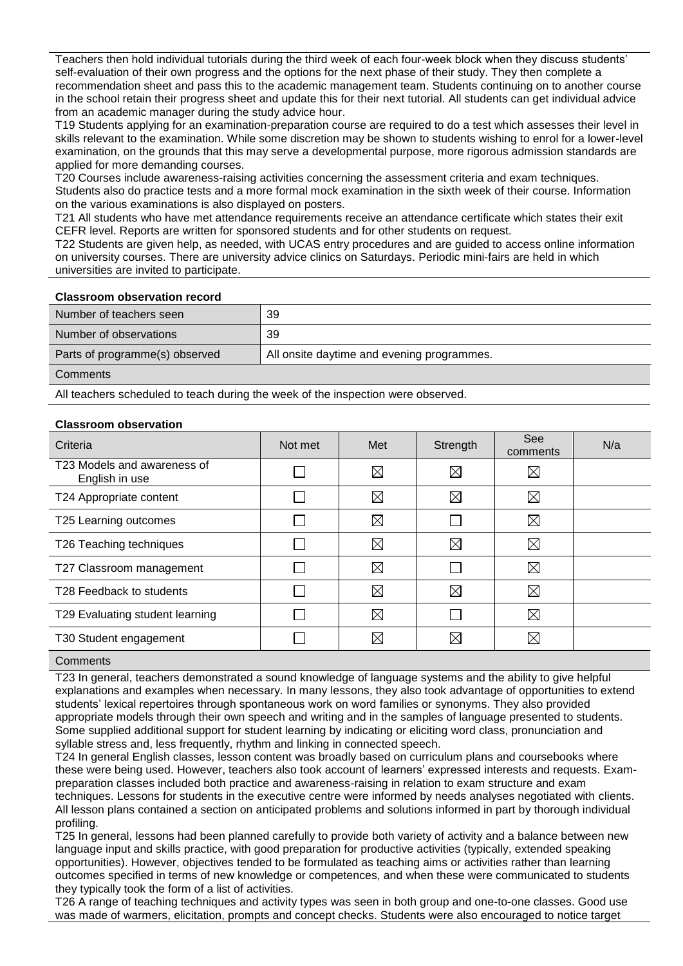Teachers then hold individual tutorials during the third week of each four-week block when they discuss students' self-evaluation of their own progress and the options for the next phase of their study. They then complete a recommendation sheet and pass this to the academic management team. Students continuing on to another course in the school retain their progress sheet and update this for their next tutorial. All students can get individual advice from an academic manager during the study advice hour.

T19 Students applying for an examination-preparation course are required to do a test which assesses their level in skills relevant to the examination. While some discretion may be shown to students wishing to enrol for a lower-level examination, on the grounds that this may serve a developmental purpose, more rigorous admission standards are applied for more demanding courses.

T20 Courses include awareness-raising activities concerning the assessment criteria and exam techniques. Students also do practice tests and a more formal mock examination in the sixth week of their course. Information on the various examinations is also displayed on posters.

T21 All students who have met attendance requirements receive an attendance certificate which states their exit CEFR level. Reports are written for sponsored students and for other students on request.

T22 Students are given help, as needed, with UCAS entry procedures and are guided to access online information on university courses. There are university advice clinics on Saturdays. Periodic mini-fairs are held in which universities are invited to participate.

## **Classroom observation record**

| Number of teachers seen        | 39                                         |
|--------------------------------|--------------------------------------------|
| Number of observations         | 39                                         |
| Parts of programme(s) observed | All onsite daytime and evening programmes. |

#### **Comments**

All teachers scheduled to teach during the week of the inspection were observed.

## **Classroom observation**

| Criteria                                      | Not met | Met         | Strength    | See<br>comments | N/a |
|-----------------------------------------------|---------|-------------|-------------|-----------------|-----|
| T23 Models and awareness of<br>English in use |         | $\boxtimes$ | $\boxtimes$ | $\boxtimes$     |     |
| T24 Appropriate content                       |         | $\boxtimes$ | $\boxtimes$ | ⊠               |     |
| T25 Learning outcomes                         |         | $\boxtimes$ |             | ⊠               |     |
| T26 Teaching techniques                       |         | $\boxtimes$ | $\boxtimes$ | ⊠               |     |
| T27 Classroom management                      |         | $\boxtimes$ |             | ⊠               |     |
| T28 Feedback to students                      |         | $\boxtimes$ | $\boxtimes$ | ⊠               |     |
| T29 Evaluating student learning               |         | $\boxtimes$ |             | ⊠               |     |
| T30 Student engagement                        |         | $\boxtimes$ | $\boxtimes$ | ⊠               |     |

# **Comments**

T23 In general, teachers demonstrated a sound knowledge of language systems and the ability to give helpful explanations and examples when necessary. In many lessons, they also took advantage of opportunities to extend students' lexical repertoires through spontaneous work on word families or synonyms. They also provided appropriate models through their own speech and writing and in the samples of language presented to students. Some supplied additional support for student learning by indicating or eliciting word class, pronunciation and syllable stress and, less frequently, rhythm and linking in connected speech.

T24 In general English classes, lesson content was broadly based on curriculum plans and coursebooks where these were being used. However, teachers also took account of learners' expressed interests and requests. Exampreparation classes included both practice and awareness-raising in relation to exam structure and exam techniques. Lessons for students in the executive centre were informed by needs analyses negotiated with clients. All lesson plans contained a section on anticipated problems and solutions informed in part by thorough individual profiling.

T25 In general, lessons had been planned carefully to provide both variety of activity and a balance between new language input and skills practice, with good preparation for productive activities (typically, extended speaking opportunities). However, objectives tended to be formulated as teaching aims or activities rather than learning outcomes specified in terms of new knowledge or competences, and when these were communicated to students they typically took the form of a list of activities.

T26 A range of teaching techniques and activity types was seen in both group and one-to-one classes. Good use was made of warmers, elicitation, prompts and concept checks. Students were also encouraged to notice target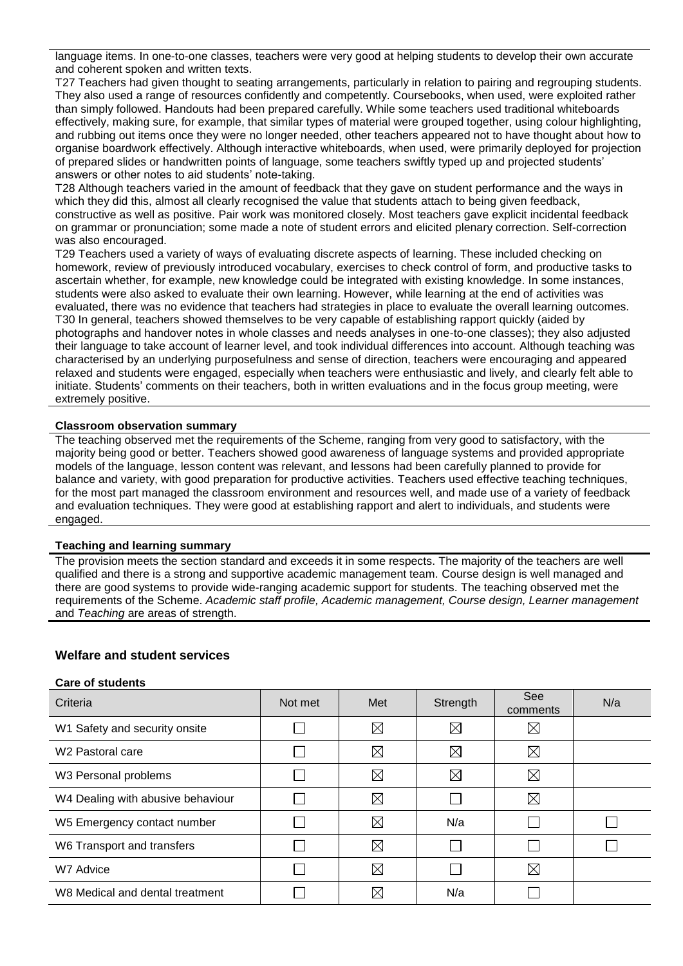language items. In one-to-one classes, teachers were very good at helping students to develop their own accurate and coherent spoken and written texts.

T27 Teachers had given thought to seating arrangements, particularly in relation to pairing and regrouping students. They also used a range of resources confidently and competently. Coursebooks, when used, were exploited rather than simply followed. Handouts had been prepared carefully. While some teachers used traditional whiteboards effectively, making sure, for example, that similar types of material were grouped together, using colour highlighting, and rubbing out items once they were no longer needed, other teachers appeared not to have thought about how to organise boardwork effectively. Although interactive whiteboards, when used, were primarily deployed for projection of prepared slides or handwritten points of language, some teachers swiftly typed up and projected students' answers or other notes to aid students' note-taking.

T28 Although teachers varied in the amount of feedback that they gave on student performance and the ways in which they did this, almost all clearly recognised the value that students attach to being given feedback, constructive as well as positive. Pair work was monitored closely. Most teachers gave explicit incidental feedback on grammar or pronunciation; some made a note of student errors and elicited plenary correction. Self-correction was also encouraged.

T29 Teachers used a variety of ways of evaluating discrete aspects of learning. These included checking on homework, review of previously introduced vocabulary, exercises to check control of form, and productive tasks to ascertain whether, for example, new knowledge could be integrated with existing knowledge. In some instances, students were also asked to evaluate their own learning. However, while learning at the end of activities was evaluated, there was no evidence that teachers had strategies in place to evaluate the overall learning outcomes. T30 In general, teachers showed themselves to be very capable of establishing rapport quickly (aided by photographs and handover notes in whole classes and needs analyses in one-to-one classes); they also adjusted their language to take account of learner level, and took individual differences into account. Although teaching was characterised by an underlying purposefulness and sense of direction, teachers were encouraging and appeared relaxed and students were engaged, especially when teachers were enthusiastic and lively, and clearly felt able to initiate. Students' comments on their teachers, both in written evaluations and in the focus group meeting, were extremely positive.

## **Classroom observation summary**

The teaching observed met the requirements of the Scheme, ranging from very good to satisfactory, with the majority being good or better. Teachers showed good awareness of language systems and provided appropriate models of the language, lesson content was relevant, and lessons had been carefully planned to provide for balance and variety, with good preparation for productive activities. Teachers used effective teaching techniques, for the most part managed the classroom environment and resources well, and made use of a variety of feedback and evaluation techniques. They were good at establishing rapport and alert to individuals, and students were engaged.

#### **Teaching and learning summary**

The provision meets the section standard and exceeds it in some respects. The majority of the teachers are well qualified and there is a strong and supportive academic management team. Course design is well managed and there are good systems to provide wide-ranging academic support for students. The teaching observed met the requirements of the Scheme. *Academic staff profile, Academic management, Course design, Learner management* and *Teaching* are areas of strength.

## **Welfare and student services**

#### **Care of students**

| Criteria                          | Not met | Met         | Strength    | See<br>comments | N/a |
|-----------------------------------|---------|-------------|-------------|-----------------|-----|
| W1 Safety and security onsite     |         | ⊠           | $\boxtimes$ | $\boxtimes$     |     |
| W <sub>2</sub> Pastoral care      |         | $\boxtimes$ | $\boxtimes$ | ⊠               |     |
| W3 Personal problems              |         | $\boxtimes$ | $\boxtimes$ | ⊠               |     |
| W4 Dealing with abusive behaviour |         | ⊠           |             | ⊠               |     |
| W5 Emergency contact number       |         | $\boxtimes$ | N/a         |                 |     |
| W6 Transport and transfers        |         | ⊠           |             |                 |     |
| W7 Advice                         |         | $\boxtimes$ |             | ⊠               |     |
| W8 Medical and dental treatment   |         | $\boxtimes$ | N/a         |                 |     |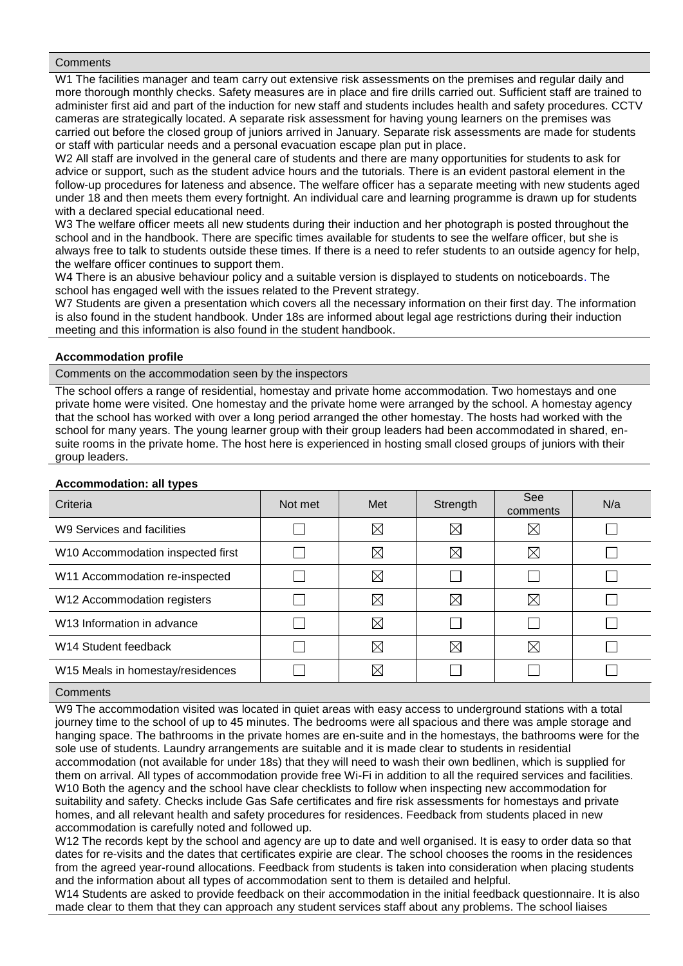#### **Comments**

W1 The facilities manager and team carry out extensive risk assessments on the premises and regular daily and more thorough monthly checks. Safety measures are in place and fire drills carried out. Sufficient staff are trained to administer first aid and part of the induction for new staff and students includes health and safety procedures. CCTV cameras are strategically located. A separate risk assessment for having young learners on the premises was carried out before the closed group of juniors arrived in January. Separate risk assessments are made for students or staff with particular needs and a personal evacuation escape plan put in place.

W2 All staff are involved in the general care of students and there are many opportunities for students to ask for advice or support, such as the student advice hours and the tutorials. There is an evident pastoral element in the follow-up procedures for lateness and absence. The welfare officer has a separate meeting with new students aged under 18 and then meets them every fortnight. An individual care and learning programme is drawn up for students with a declared special educational need.

W3 The welfare officer meets all new students during their induction and her photograph is posted throughout the school and in the handbook. There are specific times available for students to see the welfare officer, but she is always free to talk to students outside these times. If there is a need to refer students to an outside agency for help, the welfare officer continues to support them.

W4 There is an abusive behaviour policy and a suitable version is displayed to students on noticeboards. The school has engaged well with the issues related to the Prevent strategy.

W7 Students are given a presentation which covers all the necessary information on their first day. The information is also found in the student handbook. Under 18s are informed about legal age restrictions during their induction meeting and this information is also found in the student handbook.

## **Accommodation profile**

Comments on the accommodation seen by the inspectors

The school offers a range of residential, homestay and private home accommodation. Two homestays and one private home were visited. One homestay and the private home were arranged by the school. A homestay agency that the school has worked with over a long period arranged the other homestay. The hosts had worked with the school for many years. The young learner group with their group leaders had been accommodated in shared, ensuite rooms in the private home. The host here is experienced in hosting small closed groups of juniors with their group leaders.

#### **Accommodation: all types**

| . .<br>Criteria                        | Not met | Met         | Strength    | See<br>comments | N/a |
|----------------------------------------|---------|-------------|-------------|-----------------|-----|
| W9 Services and facilities             |         | $\boxtimes$ | $\boxtimes$ | $\boxtimes$     |     |
| W10 Accommodation inspected first      |         | $\boxtimes$ | $\boxtimes$ | ⊠               |     |
| W11 Accommodation re-inspected         |         | $\boxtimes$ |             |                 |     |
| W12 Accommodation registers            |         | $\boxtimes$ | $\boxtimes$ | $\boxtimes$     |     |
| W <sub>13</sub> Information in advance |         | $\boxtimes$ |             |                 |     |
| W <sub>14</sub> Student feedback       |         | $\boxtimes$ | $\boxtimes$ | ⊠               |     |
| W15 Meals in homestay/residences       |         | $\boxtimes$ |             |                 |     |

#### **Comments**

W9 The accommodation visited was located in quiet areas with easy access to underground stations with a total journey time to the school of up to 45 minutes. The bedrooms were all spacious and there was ample storage and hanging space. The bathrooms in the private homes are en-suite and in the homestays, the bathrooms were for the sole use of students. Laundry arrangements are suitable and it is made clear to students in residential accommodation (not available for under 18s) that they will need to wash their own bedlinen, which is supplied for them on arrival. All types of accommodation provide free Wi-Fi in addition to all the required services and facilities. W10 Both the agency and the school have clear checklists to follow when inspecting new accommodation for suitability and safety. Checks include Gas Safe certificates and fire risk assessments for homestays and private homes, and all relevant health and safety procedures for residences. Feedback from students placed in new accommodation is carefully noted and followed up.

W12 The records kept by the school and agency are up to date and well organised. It is easy to order data so that dates for re-visits and the dates that certificates expirie are clear. The school chooses the rooms in the residences from the agreed year-round allocations. Feedback from students is taken into consideration when placing students and the information about all types of accommodation sent to them is detailed and helpful.

W14 Students are asked to provide feedback on their accommodation in the initial feedback questionnaire. It is also made clear to them that they can approach any student services staff about any problems. The school liaises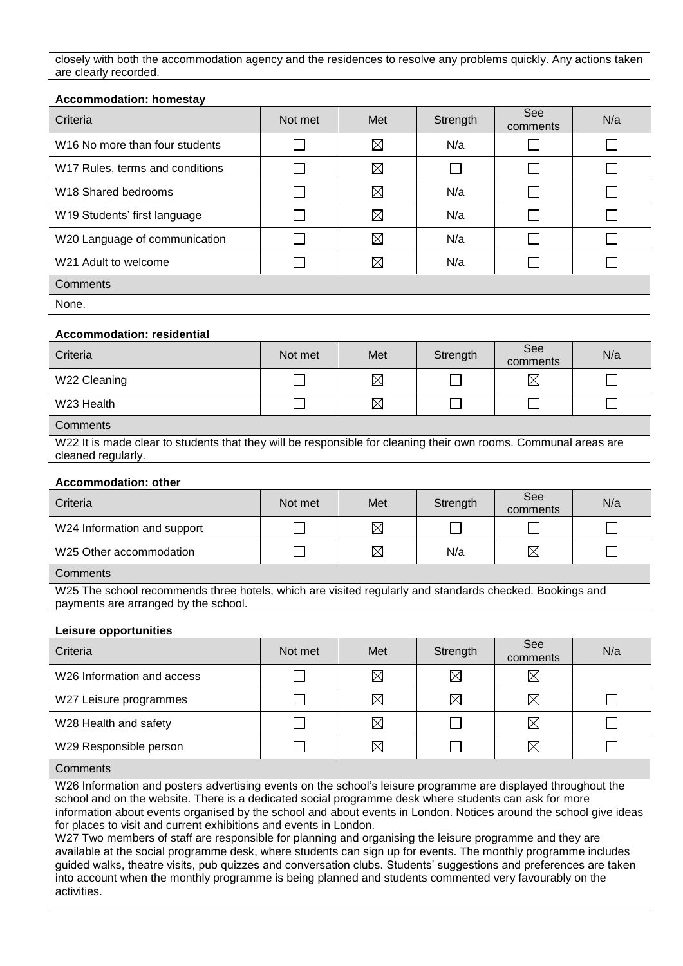closely with both the accommodation agency and the residences to resolve any problems quickly. Any actions taken are clearly recorded.

| Criteria                                                                                                                                                                                                               | Not met | Met         | Strength    | See<br>comments             | N/a |  |
|------------------------------------------------------------------------------------------------------------------------------------------------------------------------------------------------------------------------|---------|-------------|-------------|-----------------------------|-----|--|
| W16 No more than four students                                                                                                                                                                                         |         | $\boxtimes$ | N/a         | I.                          |     |  |
| W17 Rules, terms and conditions                                                                                                                                                                                        |         | ⊠           |             |                             |     |  |
| W <sub>18</sub> Shared bedrooms                                                                                                                                                                                        |         | ⊠           | N/a         | $\mathcal{L}$               |     |  |
| W19 Students' first language                                                                                                                                                                                           |         | $\boxtimes$ | N/a         | $\mathcal{L}$               |     |  |
| W20 Language of communication                                                                                                                                                                                          |         | ⊠           | N/a         |                             |     |  |
| W21 Adult to welcome                                                                                                                                                                                                   |         | ⊠           | N/a         |                             |     |  |
| Comments                                                                                                                                                                                                               |         |             |             |                             |     |  |
| None.                                                                                                                                                                                                                  |         |             |             |                             |     |  |
| <b>Accommodation: residential</b>                                                                                                                                                                                      |         |             |             |                             |     |  |
| Criteria                                                                                                                                                                                                               | Not met | Met         | Strength    | See<br>comments             | N/a |  |
| W22 Cleaning                                                                                                                                                                                                           |         | $\boxtimes$ |             | $\boxtimes$                 |     |  |
| W23 Health                                                                                                                                                                                                             |         | $\boxtimes$ |             |                             |     |  |
| Comments                                                                                                                                                                                                               |         |             |             |                             |     |  |
| W22 It is made clear to students that they will be responsible for cleaning their own rooms. Communal areas are<br>cleaned regularly.                                                                                  |         |             |             |                             |     |  |
| <b>Accommodation: other</b>                                                                                                                                                                                            |         |             |             |                             |     |  |
| Criteria                                                                                                                                                                                                               | Not met | Met         | Strength    | See<br>comments             | N/a |  |
| W24 Information and support                                                                                                                                                                                            |         | $\boxtimes$ |             | $\mathcal{L}_{\mathcal{A}}$ |     |  |
| W25 Other accommodation                                                                                                                                                                                                |         | $\boxtimes$ | N/a         | $\boxtimes$                 |     |  |
| Comments                                                                                                                                                                                                               |         |             |             |                             |     |  |
| W25 The school recommends three hotels, which are visited regularly and standards checked. Bookings and<br>payments are arranged by the school.                                                                        |         |             |             |                             |     |  |
| <b>Leisure opportunities</b>                                                                                                                                                                                           |         |             |             |                             |     |  |
| Criteria                                                                                                                                                                                                               | Not met | Met         | Strength    | See<br>comments             | N/a |  |
| W26 Information and access                                                                                                                                                                                             | $\sim$  | ⊠           | $\boxtimes$ | ⊠                           |     |  |
| W27 Leisure programmes                                                                                                                                                                                                 |         | $\boxtimes$ | $\boxtimes$ | $\boxtimes$                 |     |  |
| W28 Health and safety                                                                                                                                                                                                  |         | ⊠           |             | $\boxtimes$                 |     |  |
| W29 Responsible person                                                                                                                                                                                                 |         | $\boxtimes$ |             | $\boxtimes$                 |     |  |
| Comments                                                                                                                                                                                                               |         |             |             |                             |     |  |
| W26 Information and posters advertising events on the school's leisure programme are displayed throughout the<br>school and on the website. There is a dedicated social programme desk where students can ask for more |         |             |             |                             |     |  |

information about events organised by the school and about events in London. Notices around the school give ideas for places to visit and current exhibitions and events in London.

W27 Two members of staff are responsible for planning and organising the leisure programme and they are available at the social programme desk, where students can sign up for events. The monthly programme includes guided walks, theatre visits, pub quizzes and conversation clubs. Students' suggestions and preferences are taken into account when the monthly programme is being planned and students commented very favourably on the activities.